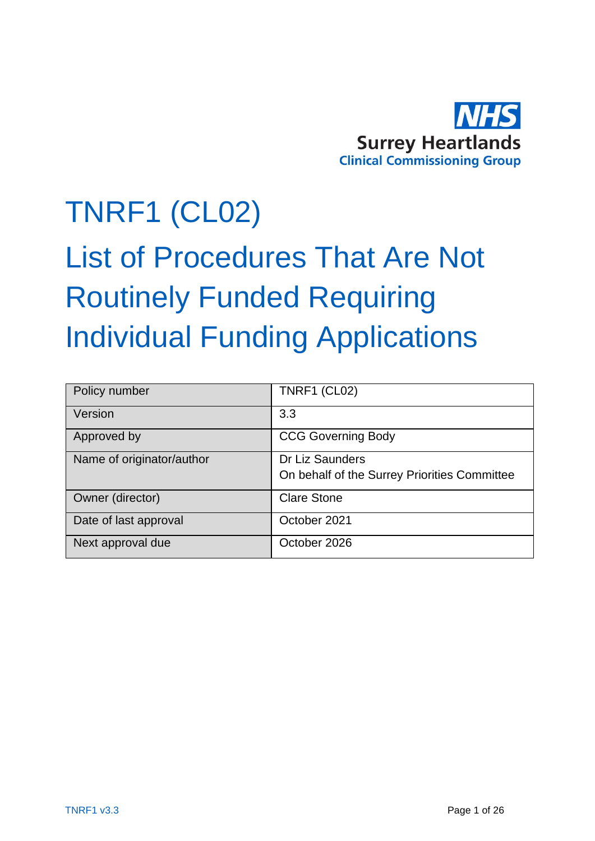

# TNRF1 (CL02)

# List of Procedures That Are Not Routinely Funded Requiring Individual Funding Applications

| Policy number             | <b>TNRF1 (CL02)</b>                                             |
|---------------------------|-----------------------------------------------------------------|
| Version                   | 3.3                                                             |
| Approved by               | <b>CCG Governing Body</b>                                       |
| Name of originator/author | Dr Liz Saunders<br>On behalf of the Surrey Priorities Committee |
| Owner (director)          | <b>Clare Stone</b>                                              |
| Date of last approval     | October 2021                                                    |
| Next approval due         | October 2026                                                    |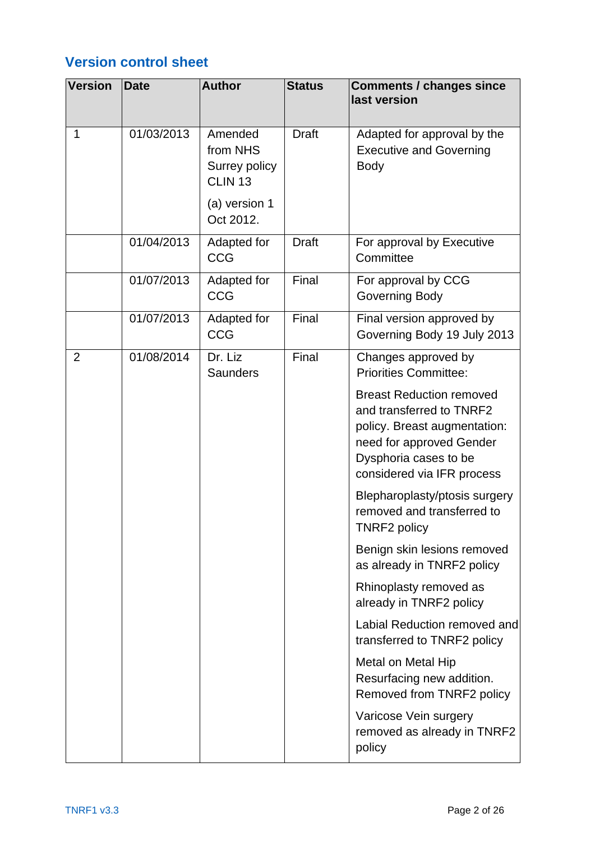## **Version control sheet**

| <b>Version</b> | <b>Date</b> | <b>Author</b>                                                                            | <b>Status</b> | <b>Comments / changes since</b><br>last version                                                                                                                                |
|----------------|-------------|------------------------------------------------------------------------------------------|---------------|--------------------------------------------------------------------------------------------------------------------------------------------------------------------------------|
| 1              | 01/03/2013  | Amended<br>from NHS<br>Surrey policy<br>CLIN <sub>13</sub><br>(a) version 1<br>Oct 2012. | <b>Draft</b>  | Adapted for approval by the<br><b>Executive and Governing</b><br><b>Body</b>                                                                                                   |
|                | 01/04/2013  | Adapted for<br><b>CCG</b>                                                                | <b>Draft</b>  | For approval by Executive<br>Committee                                                                                                                                         |
|                | 01/07/2013  | Adapted for<br><b>CCG</b>                                                                | Final         | For approval by CCG<br>Governing Body                                                                                                                                          |
|                | 01/07/2013  | Adapted for<br><b>CCG</b>                                                                | Final         | Final version approved by<br>Governing Body 19 July 2013                                                                                                                       |
| $\overline{2}$ | 01/08/2014  | Dr. Liz<br><b>Saunders</b>                                                               | Final         | Changes approved by<br><b>Priorities Committee:</b>                                                                                                                            |
|                |             |                                                                                          |               | <b>Breast Reduction removed</b><br>and transferred to TNRF2<br>policy. Breast augmentation:<br>need for approved Gender<br>Dysphoria cases to be<br>considered via IFR process |
|                |             |                                                                                          |               | Blepharoplasty/ptosis surgery<br>removed and transferred to<br><b>TNRF2 policy</b>                                                                                             |
|                |             |                                                                                          |               | Benign skin lesions removed<br>as already in TNRF2 policy                                                                                                                      |
|                |             |                                                                                          |               | Rhinoplasty removed as<br>already in TNRF2 policy                                                                                                                              |
|                |             |                                                                                          |               | Labial Reduction removed and<br>transferred to TNRF2 policy                                                                                                                    |
|                |             |                                                                                          |               | Metal on Metal Hip<br>Resurfacing new addition.<br>Removed from TNRF2 policy                                                                                                   |
|                |             |                                                                                          |               | Varicose Vein surgery<br>removed as already in TNRF2<br>policy                                                                                                                 |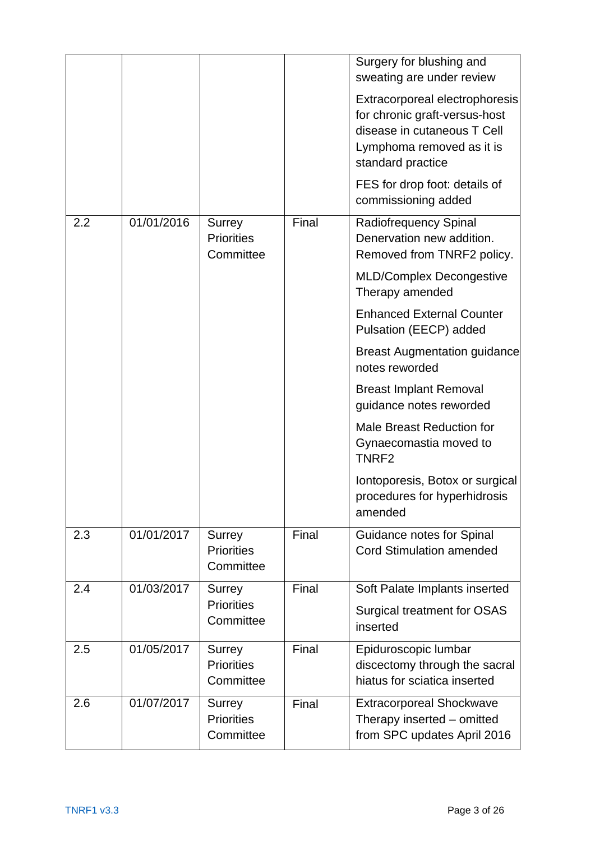|     |            |                                                 |       | Surgery for blushing and<br>sweating are under review<br>Extracorporeal electrophoresis<br>for chronic graft-versus-host<br>disease in cutaneous T Cell<br>Lymphoma removed as it is<br>standard practice<br>FES for drop foot: details of<br>commissioning added |
|-----|------------|-------------------------------------------------|-------|-------------------------------------------------------------------------------------------------------------------------------------------------------------------------------------------------------------------------------------------------------------------|
| 2.2 | 01/01/2016 | <b>Surrey</b><br><b>Priorities</b><br>Committee | Final | <b>Radiofrequency Spinal</b><br>Denervation new addition.<br>Removed from TNRF2 policy.<br><b>MLD/Complex Decongestive</b><br>Therapy amended                                                                                                                     |
|     |            |                                                 |       | <b>Enhanced External Counter</b><br>Pulsation (EECP) added                                                                                                                                                                                                        |
|     |            |                                                 |       | <b>Breast Augmentation guidance</b><br>notes reworded                                                                                                                                                                                                             |
|     |            |                                                 |       | <b>Breast Implant Removal</b><br>guidance notes reworded                                                                                                                                                                                                          |
|     |            |                                                 |       | <b>Male Breast Reduction for</b><br>Gynaecomastia moved to<br>TNRF <sub>2</sub>                                                                                                                                                                                   |
|     |            |                                                 |       | Iontoporesis, Botox or surgical<br>procedures for hyperhidrosis<br>amended                                                                                                                                                                                        |
| 2.3 | 01/01/2017 | Surrey<br><b>Priorities</b><br>Committee        | Final | Guidance notes for Spinal<br><b>Cord Stimulation amended</b>                                                                                                                                                                                                      |
| 2.4 | 01/03/2017 | Surrey<br><b>Priorities</b>                     | Final | Soft Palate Implants inserted                                                                                                                                                                                                                                     |
|     |            | Committee                                       |       | <b>Surgical treatment for OSAS</b><br>inserted                                                                                                                                                                                                                    |
| 2.5 | 01/05/2017 | Surrey<br><b>Priorities</b><br>Committee        | Final | Epiduroscopic lumbar<br>discectomy through the sacral<br>hiatus for sciatica inserted                                                                                                                                                                             |
| 2.6 | 01/07/2017 | <b>Surrey</b><br><b>Priorities</b><br>Committee | Final | <b>Extracorporeal Shockwave</b><br>Therapy inserted – omitted<br>from SPC updates April 2016                                                                                                                                                                      |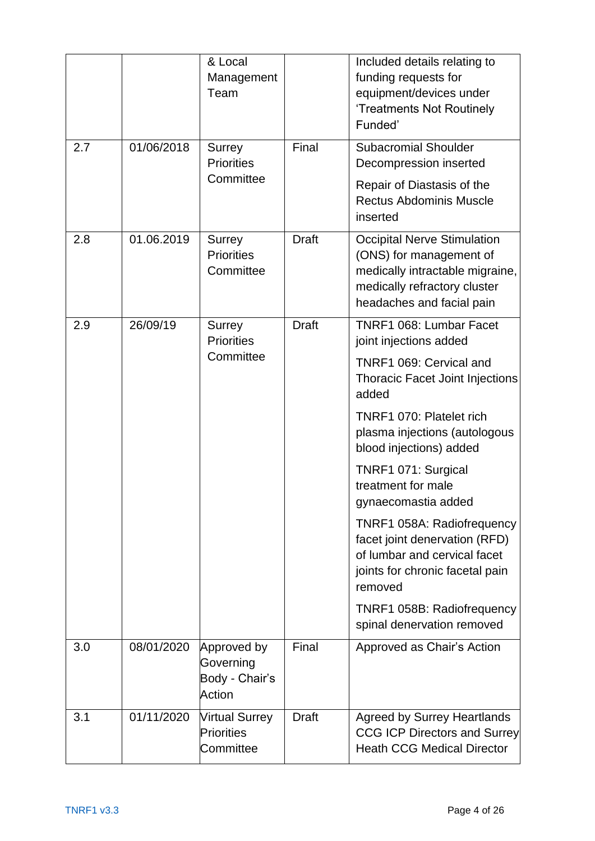|     |            | & Local<br>Management<br>Team                        |              | Included details relating to<br>funding requests for<br>equipment/devices under<br>'Treatments Not Routinely<br>Funded'                                                                                                                                                                                                                                                                                                                                                                                     |
|-----|------------|------------------------------------------------------|--------------|-------------------------------------------------------------------------------------------------------------------------------------------------------------------------------------------------------------------------------------------------------------------------------------------------------------------------------------------------------------------------------------------------------------------------------------------------------------------------------------------------------------|
| 2.7 | 01/06/2018 | Surrey<br><b>Priorities</b><br>Committee             | Final        | <b>Subacromial Shoulder</b><br>Decompression inserted<br>Repair of Diastasis of the<br><b>Rectus Abdominis Muscle</b><br>inserted                                                                                                                                                                                                                                                                                                                                                                           |
| 2.8 | 01.06.2019 | Surrey<br><b>Priorities</b><br>Committee             | <b>Draft</b> | <b>Occipital Nerve Stimulation</b><br>(ONS) for management of<br>medically intractable migraine,<br>medically refractory cluster<br>headaches and facial pain                                                                                                                                                                                                                                                                                                                                               |
| 2.9 | 26/09/19   | Surrey<br><b>Priorities</b><br>Committee             | <b>Draft</b> | TNRF1 068: Lumbar Facet<br>joint injections added<br>TNRF1 069: Cervical and<br><b>Thoracic Facet Joint Injections</b><br>added<br>TNRF1 070: Platelet rich<br>plasma injections (autologous<br>blood injections) added<br>TNRF1 071: Surgical<br>treatment for male<br>gynaecomastia added<br><b>TNRF1 058A: Radiofrequency</b><br>facet joint denervation (RFD)<br>of lumbar and cervical facet<br>joints for chronic facetal pain<br>removed<br>TNRF1 058B: Radiofrequency<br>spinal denervation removed |
| 3.0 | 08/01/2020 | Approved by<br>Governing<br>Body - Chair's<br>Action | Final        | Approved as Chair's Action                                                                                                                                                                                                                                                                                                                                                                                                                                                                                  |
| 3.1 | 01/11/2020 | <b>Virtual Surrey</b><br>Priorities<br>Committee     | <b>Draft</b> | <b>Agreed by Surrey Heartlands</b><br><b>CCG ICP Directors and Surrey</b><br><b>Heath CCG Medical Director</b>                                                                                                                                                                                                                                                                                                                                                                                              |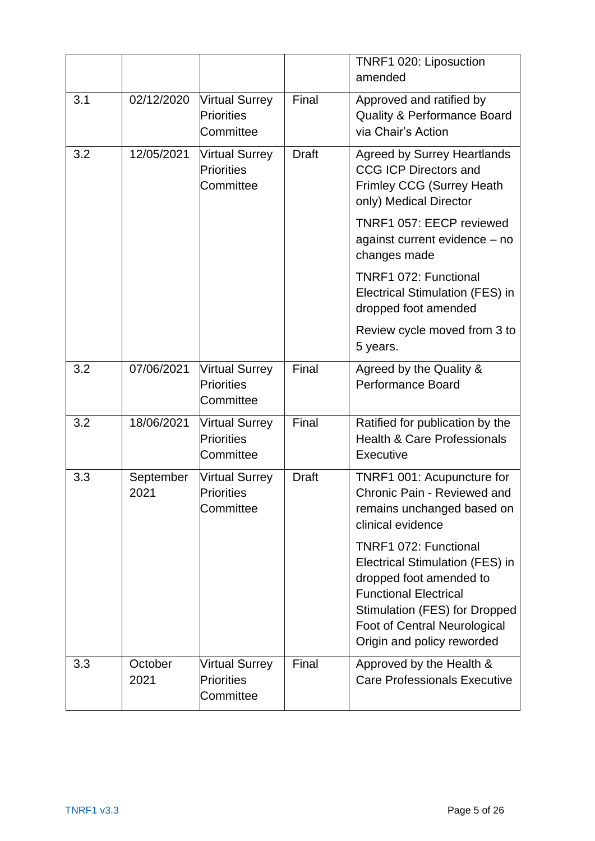|     |                   |                                                  |              | TNRF1 020: Liposuction<br>amended                                                                                                                                                                                  |
|-----|-------------------|--------------------------------------------------|--------------|--------------------------------------------------------------------------------------------------------------------------------------------------------------------------------------------------------------------|
| 3.1 | 02/12/2020        | <b>Virtual Surrey</b><br>Priorities<br>Committee | Final        | Approved and ratified by<br><b>Quality &amp; Performance Board</b><br>via Chair's Action                                                                                                                           |
| 3.2 | 12/05/2021        | <b>Virtual Surrey</b><br>Priorities<br>Committee | <b>Draft</b> | <b>Agreed by Surrey Heartlands</b><br><b>CCG ICP Directors and</b><br><b>Frimley CCG (Surrey Heath</b><br>only) Medical Director                                                                                   |
|     |                   |                                                  |              | TNRF1 057: EECP reviewed<br>against current evidence - no<br>changes made                                                                                                                                          |
|     |                   |                                                  |              | TNRF1 072: Functional<br>Electrical Stimulation (FES) in<br>dropped foot amended                                                                                                                                   |
|     |                   |                                                  |              | Review cycle moved from 3 to<br>5 years.                                                                                                                                                                           |
| 3.2 | 07/06/2021        | <b>Virtual Surrey</b><br>Priorities<br>Committee | Final        | Agreed by the Quality &<br><b>Performance Board</b>                                                                                                                                                                |
| 3.2 | 18/06/2021        | <b>Virtual Surrey</b><br>Priorities<br>Committee | Final        | Ratified for publication by the<br><b>Health &amp; Care Professionals</b><br>Executive                                                                                                                             |
| 3.3 | September<br>2021 | <b>Virtual Surrey</b><br>Priorities<br>Committee | <b>Draft</b> | TNRF1 001: Acupuncture for<br>Chronic Pain - Reviewed and<br>remains unchanged based on<br>clinical evidence                                                                                                       |
|     |                   |                                                  |              | TNRF1 072: Functional<br>Electrical Stimulation (FES) in<br>dropped foot amended to<br><b>Functional Electrical</b><br>Stimulation (FES) for Dropped<br>Foot of Central Neurological<br>Origin and policy reworded |
| 3.3 | October<br>2021   | <b>Virtual Surrey</b><br>Priorities<br>Committee | Final        | Approved by the Health &<br><b>Care Professionals Executive</b>                                                                                                                                                    |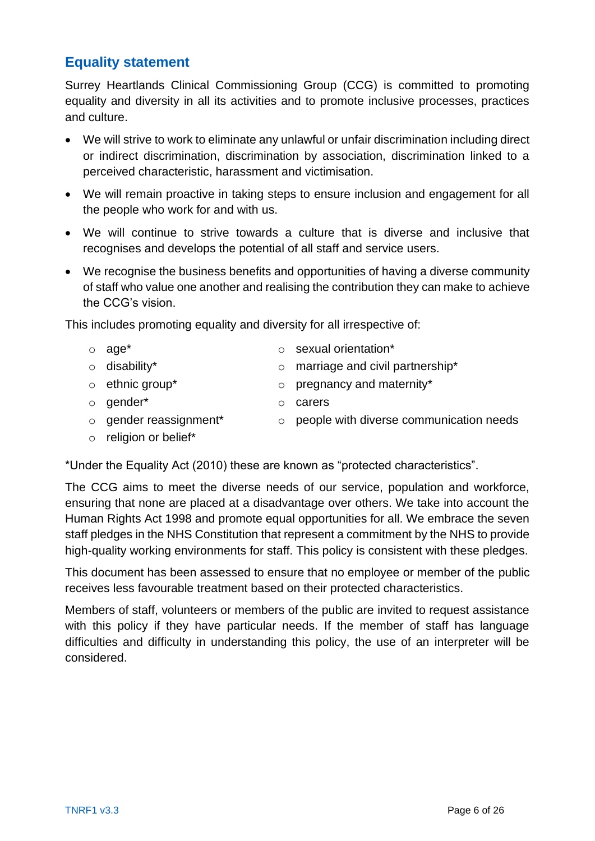#### **Equality statement**

Surrey Heartlands Clinical Commissioning Group (CCG) is committed to promoting equality and diversity in all its activities and to promote inclusive processes, practices and culture.

- We will strive to work to eliminate any unlawful or unfair discrimination including direct or indirect discrimination, discrimination by association, discrimination linked to a perceived characteristic, harassment and victimisation.
- We will remain proactive in taking steps to ensure inclusion and engagement for all the people who work for and with us.
- We will continue to strive towards a culture that is diverse and inclusive that recognises and develops the potential of all staff and service users.
- We recognise the business benefits and opportunities of having a diverse community of staff who value one another and realising the contribution they can make to achieve the CCG's vision.

This includes promoting equality and diversity for all irrespective of:

- o age\* o sexual orientation\*
- 
- 
- o gender\* o carers
	-
- 
- o disability\* o marriage and civil partnership\*
- o ethnic group\* o pregnancy and maternity\*
	-
- o gender reassignment\* o people with diverse communication needs
- o religion or belief\*

\*Under the Equality Act (2010) these are known as "protected characteristics".

The CCG aims to meet the diverse needs of our service, population and workforce, ensuring that none are placed at a disadvantage over others. We take into account the Human Rights Act 1998 and promote equal opportunities for all. We embrace the seven staff pledges in the NHS Constitution that represent a commitment by the NHS to provide high-quality working environments for staff. This policy is consistent with these pledges.

This document has been assessed to ensure that no employee or member of the public receives less favourable treatment based on their protected characteristics.

Members of staff, volunteers or members of the public are invited to request assistance with this policy if they have particular needs. If the member of staff has language difficulties and difficulty in understanding this policy, the use of an interpreter will be considered.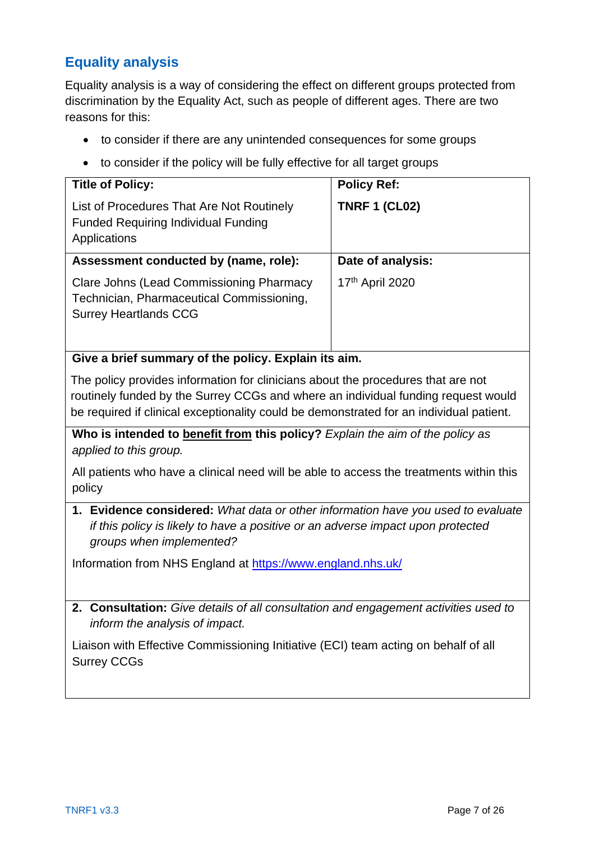## **Equality analysis**

Equality analysis is a way of considering the effect on different groups protected from discrimination by the Equality Act, such as people of different ages. There are two reasons for this:

- to consider if there are any unintended consequences for some groups
- to consider if the policy will be fully effective for all target groups

| <b>Title of Policy:</b>                                                                                                      | <b>Policy Ref:</b>   |
|------------------------------------------------------------------------------------------------------------------------------|----------------------|
| List of Procedures That Are Not Routinely<br><b>Funded Requiring Individual Funding</b><br>Applications                      | <b>TNRF 1 (CL02)</b> |
| Assessment conducted by (name, role):                                                                                        | Date of analysis:    |
| <b>Clare Johns (Lead Commissioning Pharmacy</b><br>Technician, Pharmaceutical Commissioning,<br><b>Surrey Heartlands CCG</b> | 17th April 2020      |

#### **Give a brief summary of the policy. Explain its aim.**

The policy provides information for clinicians about the procedures that are not routinely funded by the Surrey CCGs and where an individual funding request would be required if clinical exceptionality could be demonstrated for an individual patient.

**Who is intended to benefit from this policy?** *Explain the aim of the policy as applied to this group.*

All patients who have a clinical need will be able to access the treatments within this policy

**1. Evidence considered:** *What data or other information have you used to evaluate if this policy is likely to have a positive or an adverse impact upon protected groups when implemented?*

Information from NHS England at<https://www.england.nhs.uk/>

**2. Consultation:** *Give details of all consultation and engagement activities used to inform the analysis of impact.*

Liaison with Effective Commissioning Initiative (ECI) team acting on behalf of all Surrey CCGs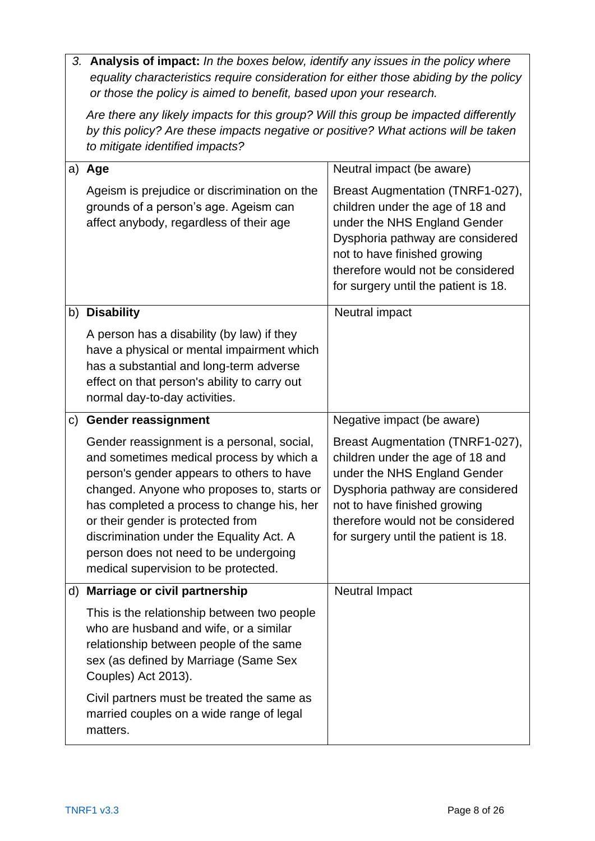*3.* **Analysis of impact:** *In the boxes below, identify any issues in the policy where equality characteristics require consideration for either those abiding by the policy or those the policy is aimed to benefit, based upon your research.*

*Are there any likely impacts for this group? Will this group be impacted differently by this policy? Are these impacts negative or positive? What actions will be taken to mitigate identified impacts?*

|    | a) Age                                                                                                                                                                                                                                                                                                                                                                                            | Neutral impact (be aware)                                                                                                                                                                                                                             |
|----|---------------------------------------------------------------------------------------------------------------------------------------------------------------------------------------------------------------------------------------------------------------------------------------------------------------------------------------------------------------------------------------------------|-------------------------------------------------------------------------------------------------------------------------------------------------------------------------------------------------------------------------------------------------------|
|    | Ageism is prejudice or discrimination on the<br>grounds of a person's age. Ageism can<br>affect anybody, regardless of their age                                                                                                                                                                                                                                                                  | Breast Augmentation (TNRF1-027),<br>children under the age of 18 and<br>under the NHS England Gender<br>Dysphoria pathway are considered<br>not to have finished growing<br>therefore would not be considered<br>for surgery until the patient is 18. |
| b) | <b>Disability</b>                                                                                                                                                                                                                                                                                                                                                                                 | Neutral impact                                                                                                                                                                                                                                        |
|    | A person has a disability (by law) if they<br>have a physical or mental impairment which<br>has a substantial and long-term adverse<br>effect on that person's ability to carry out<br>normal day-to-day activities.                                                                                                                                                                              |                                                                                                                                                                                                                                                       |
| C) | <b>Gender reassignment</b>                                                                                                                                                                                                                                                                                                                                                                        | Negative impact (be aware)                                                                                                                                                                                                                            |
|    | Gender reassignment is a personal, social,<br>and sometimes medical process by which a<br>person's gender appears to others to have<br>changed. Anyone who proposes to, starts or<br>has completed a process to change his, her<br>or their gender is protected from<br>discrimination under the Equality Act. A<br>person does not need to be undergoing<br>medical supervision to be protected. | Breast Augmentation (TNRF1-027),<br>children under the age of 18 and<br>under the NHS England Gender<br>Dysphoria pathway are considered<br>not to have finished growing<br>therefore would not be considered<br>for surgery until the patient is 18. |
|    | d) Marriage or civil partnership                                                                                                                                                                                                                                                                                                                                                                  | <b>Neutral Impact</b>                                                                                                                                                                                                                                 |
|    | This is the relationship between two people<br>who are husband and wife, or a similar<br>relationship between people of the same<br>sex (as defined by Marriage (Same Sex<br>Couples) Act 2013).                                                                                                                                                                                                  |                                                                                                                                                                                                                                                       |
|    | Civil partners must be treated the same as<br>married couples on a wide range of legal<br>matters.                                                                                                                                                                                                                                                                                                |                                                                                                                                                                                                                                                       |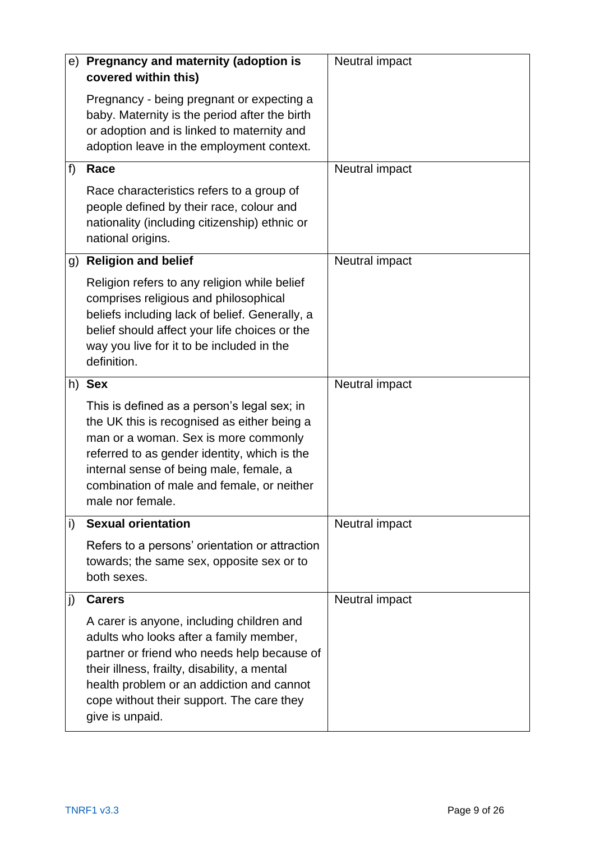| e) | Pregnancy and maternity (adoption is<br>covered within this)                                                                                                                                                                                                                                     | Neutral impact |
|----|--------------------------------------------------------------------------------------------------------------------------------------------------------------------------------------------------------------------------------------------------------------------------------------------------|----------------|
|    | Pregnancy - being pregnant or expecting a<br>baby. Maternity is the period after the birth<br>or adoption and is linked to maternity and<br>adoption leave in the employment context.                                                                                                            |                |
| f) | Race                                                                                                                                                                                                                                                                                             | Neutral impact |
|    | Race characteristics refers to a group of<br>people defined by their race, colour and<br>nationality (including citizenship) ethnic or<br>national origins.                                                                                                                                      |                |
| g) | <b>Religion and belief</b>                                                                                                                                                                                                                                                                       | Neutral impact |
|    | Religion refers to any religion while belief<br>comprises religious and philosophical<br>beliefs including lack of belief. Generally, a<br>belief should affect your life choices or the<br>way you live for it to be included in the<br>definition.                                             |                |
|    | h) Sex                                                                                                                                                                                                                                                                                           | Neutral impact |
|    | This is defined as a person's legal sex; in<br>the UK this is recognised as either being a<br>man or a woman. Sex is more commonly<br>referred to as gender identity, which is the<br>internal sense of being male, female, a<br>combination of male and female, or neither<br>male nor female.  |                |
| i) | <b>Sexual orientation</b>                                                                                                                                                                                                                                                                        | Neutral impact |
|    | Refers to a persons' orientation or attraction<br>towards; the same sex, opposite sex or to<br>both sexes.                                                                                                                                                                                       |                |
| j) | <b>Carers</b>                                                                                                                                                                                                                                                                                    | Neutral impact |
|    | A carer is anyone, including children and<br>adults who looks after a family member,<br>partner or friend who needs help because of<br>their illness, frailty, disability, a mental<br>health problem or an addiction and cannot<br>cope without their support. The care they<br>give is unpaid. |                |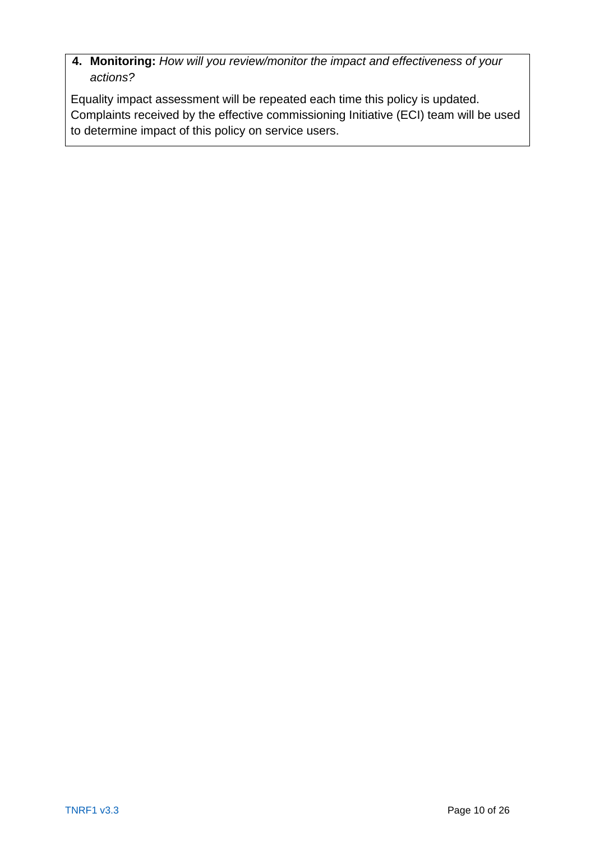**4. Monitoring:** *How will you review/monitor the impact and effectiveness of your actions?*

Equality impact assessment will be repeated each time this policy is updated. Complaints received by the effective commissioning Initiative (ECI) team will be used to determine impact of this policy on service users.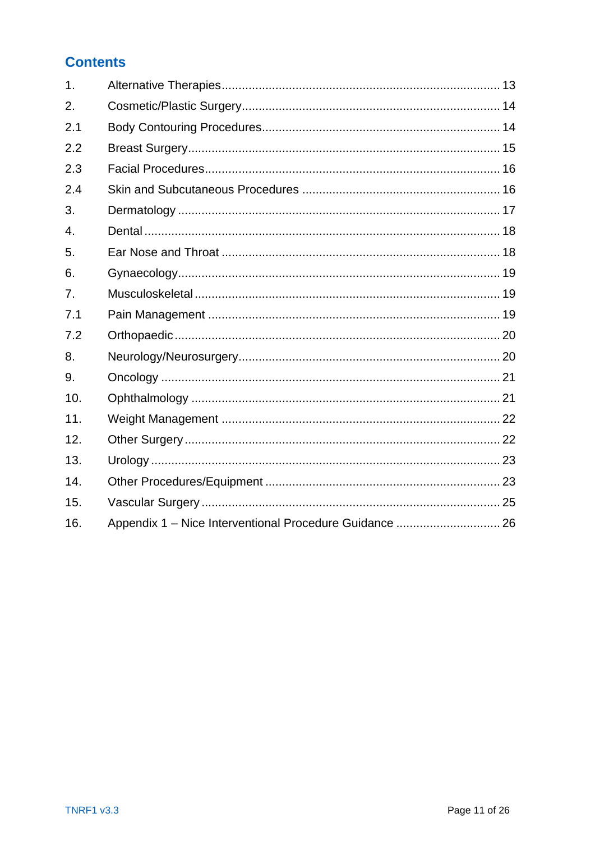## **Contents**

| 1 <sub>1</sub>   |  |
|------------------|--|
| 2.               |  |
| 2.1              |  |
| 2.2              |  |
| 2.3              |  |
| 2.4              |  |
| 3.               |  |
| $\overline{4}$ . |  |
| 5.               |  |
| 6.               |  |
| 7.               |  |
| 7.1              |  |
| 7.2              |  |
| 8.               |  |
| 9.               |  |
| 10.              |  |
| 11.              |  |
| 12.              |  |
| 13.              |  |
| 14.              |  |
| 15.              |  |
| 16.              |  |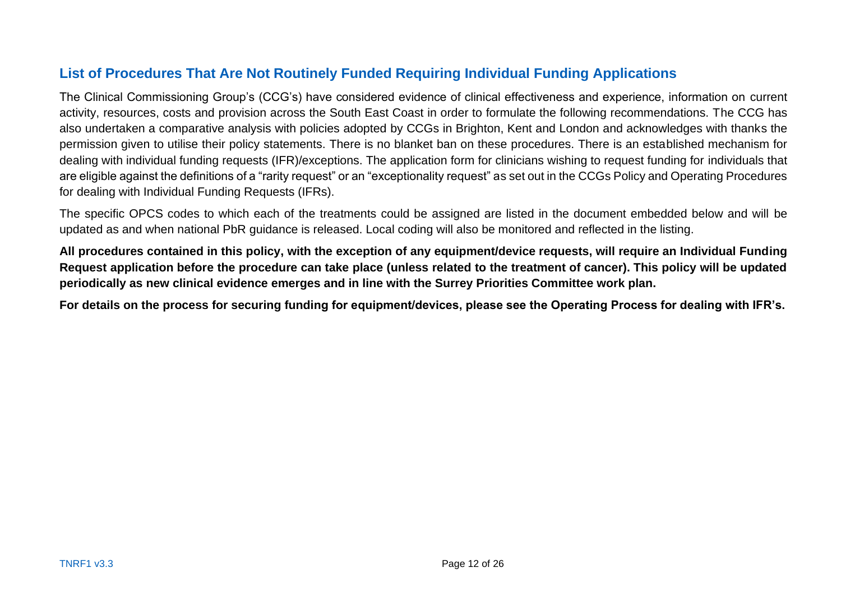## **List of Procedures That Are Not Routinely Funded Requiring Individual Funding Applications**

The Clinical Commissioning Group's (CCG's) have considered evidence of clinical effectiveness and experience, information on current activity, resources, costs and provision across the South East Coast in order to formulate the following recommendations. The CCG has also undertaken a comparative analysis with policies adopted by CCGs in Brighton, Kent and London and acknowledges with thanks the permission given to utilise their policy statements. There is no blanket ban on these procedures. There is an established mechanism for dealing with individual funding requests (IFR)/exceptions. The application form for clinicians wishing to request funding for individuals that are eligible against the definitions of a "rarity request" or an "exceptionality request" as set out in the CCGs Policy and Operating Procedures for dealing with Individual Funding Requests (IFRs).

The specific OPCS codes to which each of the treatments could be assigned are listed in the document embedded below and will be updated as and when national PbR guidance is released. Local coding will also be monitored and reflected in the listing.

**All procedures contained in this policy, with the exception of any equipment/device requests, will require an Individual Funding Request application before the procedure can take place (unless related to the treatment of cancer). This policy will be updated periodically as new clinical evidence emerges and in line with the Surrey Priorities Committee work plan.** 

**For details on the process for securing funding for equipment/devices, please see the Operating Process for dealing with IFR's.**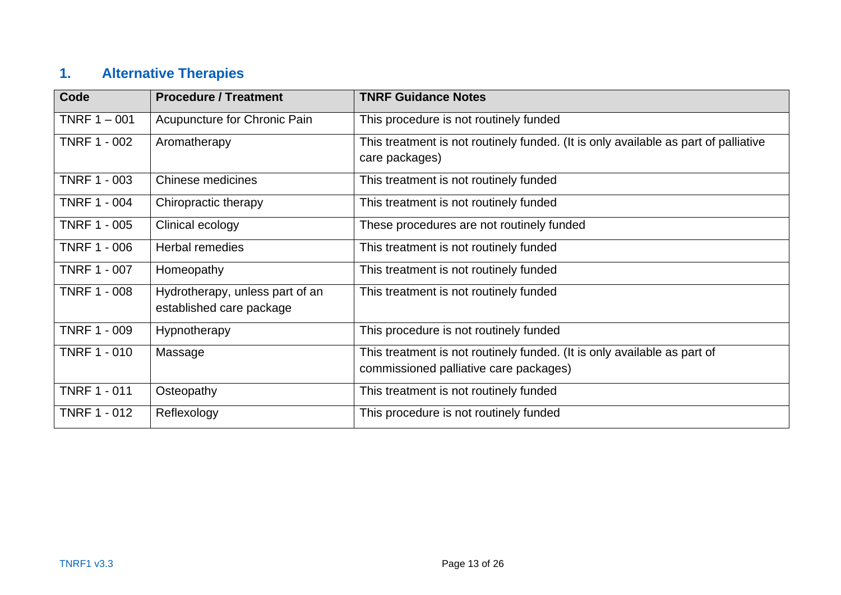# **1. Alternative Therapies**

<span id="page-12-0"></span>

| <b>Code</b>         | <b>Procedure / Treatment</b>                                | <b>TNRF Guidance Notes</b>                                                                                         |
|---------------------|-------------------------------------------------------------|--------------------------------------------------------------------------------------------------------------------|
| TNRF $1 - 001$      | Acupuncture for Chronic Pain                                | This procedure is not routinely funded                                                                             |
| <b>TNRF 1 - 002</b> | Aromatherapy                                                | This treatment is not routinely funded. (It is only available as part of palliative<br>care packages)              |
| <b>TNRF 1 - 003</b> | <b>Chinese medicines</b>                                    | This treatment is not routinely funded                                                                             |
| <b>TNRF 1 - 004</b> | Chiropractic therapy                                        | This treatment is not routinely funded                                                                             |
| <b>TNRF 1 - 005</b> | Clinical ecology                                            | These procedures are not routinely funded                                                                          |
| <b>TNRF 1 - 006</b> | <b>Herbal remedies</b>                                      | This treatment is not routinely funded                                                                             |
| <b>TNRF 1 - 007</b> | Homeopathy                                                  | This treatment is not routinely funded                                                                             |
| <b>TNRF 1 - 008</b> | Hydrotherapy, unless part of an<br>established care package | This treatment is not routinely funded                                                                             |
| <b>TNRF 1 - 009</b> | Hypnotherapy                                                | This procedure is not routinely funded                                                                             |
| <b>TNRF 1 - 010</b> | Massage                                                     | This treatment is not routinely funded. (It is only available as part of<br>commissioned palliative care packages) |
| <b>TNRF 1 - 011</b> | Osteopathy                                                  | This treatment is not routinely funded                                                                             |
| <b>TNRF 1 - 012</b> | Reflexology                                                 | This procedure is not routinely funded                                                                             |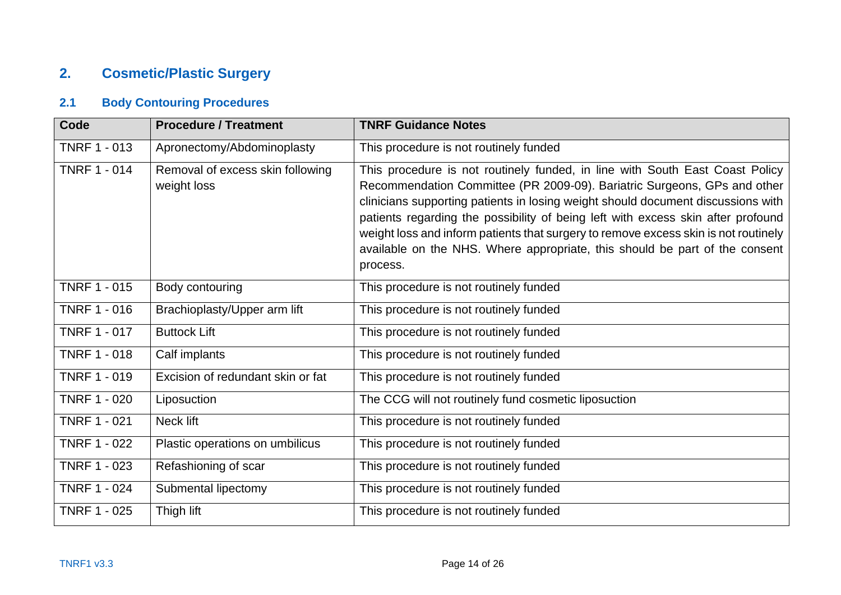## **2. Cosmetic/Plastic Surgery**

## **2.1 Body Contouring Procedures**

<span id="page-13-1"></span><span id="page-13-0"></span>

| <b>Code</b>         | <b>Procedure / Treatment</b>                    | <b>TNRF Guidance Notes</b>                                                                                                                                                                                                                                                                                                                                                                                                                                                                                         |
|---------------------|-------------------------------------------------|--------------------------------------------------------------------------------------------------------------------------------------------------------------------------------------------------------------------------------------------------------------------------------------------------------------------------------------------------------------------------------------------------------------------------------------------------------------------------------------------------------------------|
| <b>TNRF 1 - 013</b> | Apronectomy/Abdominoplasty                      | This procedure is not routinely funded                                                                                                                                                                                                                                                                                                                                                                                                                                                                             |
| <b>TNRF 1 - 014</b> | Removal of excess skin following<br>weight loss | This procedure is not routinely funded, in line with South East Coast Policy<br>Recommendation Committee (PR 2009-09). Bariatric Surgeons, GPs and other<br>clinicians supporting patients in losing weight should document discussions with<br>patients regarding the possibility of being left with excess skin after profound<br>weight loss and inform patients that surgery to remove excess skin is not routinely<br>available on the NHS. Where appropriate, this should be part of the consent<br>process. |
| <b>TNRF 1 - 015</b> | Body contouring                                 | This procedure is not routinely funded                                                                                                                                                                                                                                                                                                                                                                                                                                                                             |
| <b>TNRF 1 - 016</b> | Brachioplasty/Upper arm lift                    | This procedure is not routinely funded                                                                                                                                                                                                                                                                                                                                                                                                                                                                             |
| <b>TNRF 1 - 017</b> | <b>Buttock Lift</b>                             | This procedure is not routinely funded                                                                                                                                                                                                                                                                                                                                                                                                                                                                             |
| <b>TNRF 1 - 018</b> | Calf implants                                   | This procedure is not routinely funded                                                                                                                                                                                                                                                                                                                                                                                                                                                                             |
| <b>TNRF 1 - 019</b> | Excision of redundant skin or fat               | This procedure is not routinely funded                                                                                                                                                                                                                                                                                                                                                                                                                                                                             |
| <b>TNRF 1 - 020</b> | Liposuction                                     | The CCG will not routinely fund cosmetic liposuction                                                                                                                                                                                                                                                                                                                                                                                                                                                               |
| <b>TNRF 1 - 021</b> | Neck lift                                       | This procedure is not routinely funded                                                                                                                                                                                                                                                                                                                                                                                                                                                                             |
| <b>TNRF 1 - 022</b> | Plastic operations on umbilicus                 | This procedure is not routinely funded                                                                                                                                                                                                                                                                                                                                                                                                                                                                             |
| <b>TNRF 1 - 023</b> | Refashioning of scar                            | This procedure is not routinely funded                                                                                                                                                                                                                                                                                                                                                                                                                                                                             |
| <b>TNRF 1 - 024</b> | Submental lipectomy                             | This procedure is not routinely funded                                                                                                                                                                                                                                                                                                                                                                                                                                                                             |
| <b>TNRF 1 - 025</b> | Thigh lift                                      | This procedure is not routinely funded                                                                                                                                                                                                                                                                                                                                                                                                                                                                             |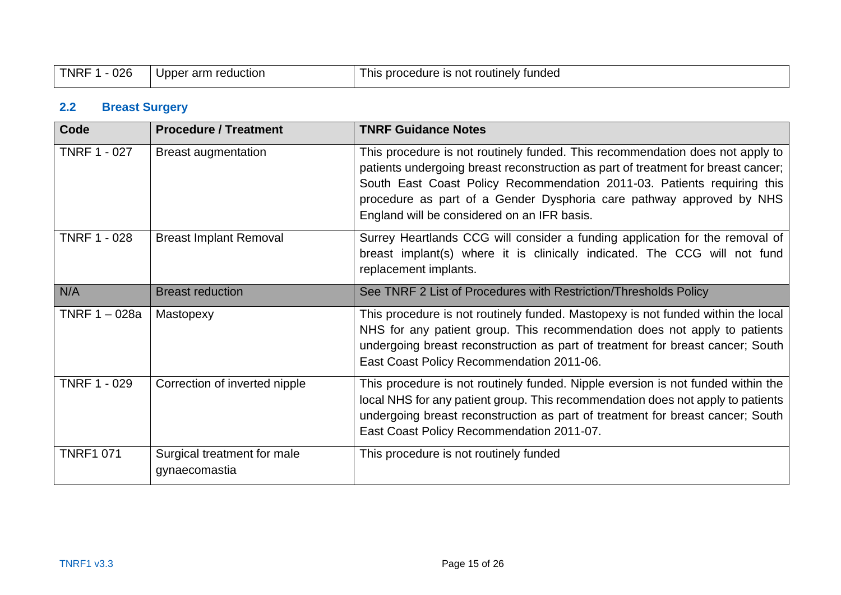| 026<br>TNRF | arm<br>reduction<br>Upper | routinelv<br>; procedure is<br>tundea<br>not -<br>his |
|-------------|---------------------------|-------------------------------------------------------|
|-------------|---------------------------|-------------------------------------------------------|

## **2.2 Breast Surgery**

<span id="page-14-0"></span>

| Code                | <b>Procedure / Treatment</b>                 | <b>TNRF Guidance Notes</b>                                                                                                                                                                                                                                                                                                                                           |
|---------------------|----------------------------------------------|----------------------------------------------------------------------------------------------------------------------------------------------------------------------------------------------------------------------------------------------------------------------------------------------------------------------------------------------------------------------|
| <b>TNRF 1 - 027</b> | <b>Breast augmentation</b>                   | This procedure is not routinely funded. This recommendation does not apply to<br>patients undergoing breast reconstruction as part of treatment for breast cancer;<br>South East Coast Policy Recommendation 2011-03. Patients requiring this<br>procedure as part of a Gender Dysphoria care pathway approved by NHS<br>England will be considered on an IFR basis. |
| <b>TNRF 1 - 028</b> | <b>Breast Implant Removal</b>                | Surrey Heartlands CCG will consider a funding application for the removal of<br>breast implant(s) where it is clinically indicated. The CCG will not fund<br>replacement implants.                                                                                                                                                                                   |
| N/A                 | <b>Breast reduction</b>                      | See TNRF 2 List of Procedures with Restriction/Thresholds Policy                                                                                                                                                                                                                                                                                                     |
| TNRF 1 - 028a       | Mastopexy                                    | This procedure is not routinely funded. Mastopexy is not funded within the local<br>NHS for any patient group. This recommendation does not apply to patients<br>undergoing breast reconstruction as part of treatment for breast cancer; South<br>East Coast Policy Recommendation 2011-06.                                                                         |
| <b>TNRF 1 - 029</b> | Correction of inverted nipple                | This procedure is not routinely funded. Nipple eversion is not funded within the<br>local NHS for any patient group. This recommendation does not apply to patients<br>undergoing breast reconstruction as part of treatment for breast cancer; South<br>East Coast Policy Recommendation 2011-07.                                                                   |
| TNRF1 071           | Surgical treatment for male<br>gynaecomastia | This procedure is not routinely funded                                                                                                                                                                                                                                                                                                                               |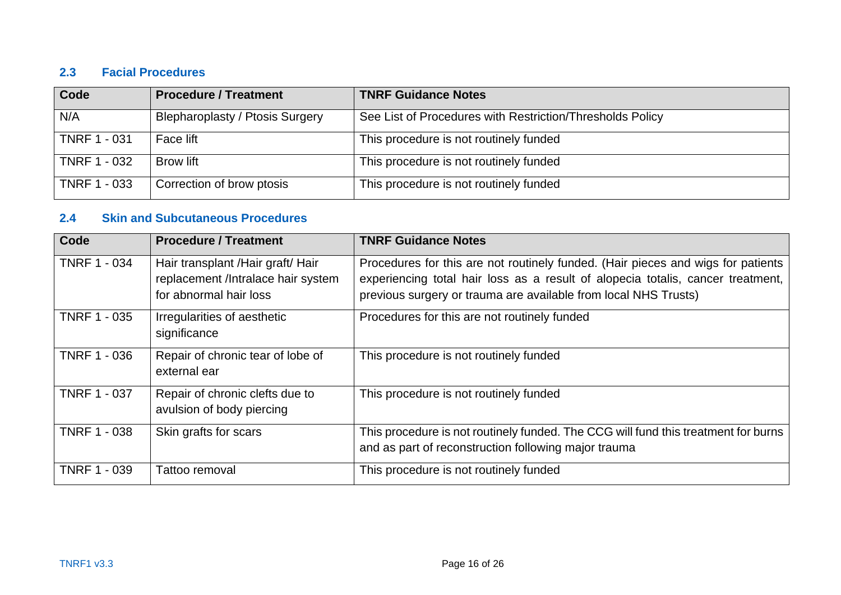#### **2.3 Facial Procedures**

| Code                | <b>Procedure / Treatment</b>           | <b>TNRF Guidance Notes</b>                                |
|---------------------|----------------------------------------|-----------------------------------------------------------|
| N/A                 | <b>Blepharoplasty / Ptosis Surgery</b> | See List of Procedures with Restriction/Thresholds Policy |
| <b>TNRF 1 - 031</b> | Face lift                              | This procedure is not routinely funded                    |
| <b>TNRF 1 - 032</b> | <b>Brow lift</b>                       | This procedure is not routinely funded                    |
| <b>TNRF 1 - 033</b> | Correction of brow ptosis              | This procedure is not routinely funded                    |

#### **2.4 Skin and Subcutaneous Procedures**

<span id="page-15-1"></span><span id="page-15-0"></span>

| Code                | <b>Procedure / Treatment</b>                                                                       | <b>TNRF Guidance Notes</b>                                                                                                                                                                                                             |
|---------------------|----------------------------------------------------------------------------------------------------|----------------------------------------------------------------------------------------------------------------------------------------------------------------------------------------------------------------------------------------|
| <b>TNRF 1 - 034</b> | Hair transplant / Hair graft/ Hair<br>replacement /Intralace hair system<br>for abnormal hair loss | Procedures for this are not routinely funded. (Hair pieces and wigs for patients<br>experiencing total hair loss as a result of alopecia totalis, cancer treatment,<br>previous surgery or trauma are available from local NHS Trusts) |
| <b>TNRF 1 - 035</b> | Irregularities of aesthetic<br>significance                                                        | Procedures for this are not routinely funded                                                                                                                                                                                           |
| <b>TNRF 1 - 036</b> | Repair of chronic tear of lobe of<br>external ear                                                  | This procedure is not routinely funded                                                                                                                                                                                                 |
| <b>TNRF 1 - 037</b> | Repair of chronic clefts due to<br>avulsion of body piercing                                       | This procedure is not routinely funded                                                                                                                                                                                                 |
| <b>TNRF 1 - 038</b> | Skin grafts for scars                                                                              | This procedure is not routinely funded. The CCG will fund this treatment for burns<br>and as part of reconstruction following major trauma                                                                                             |
| <b>TNRF 1 - 039</b> | Tattoo removal                                                                                     | This procedure is not routinely funded                                                                                                                                                                                                 |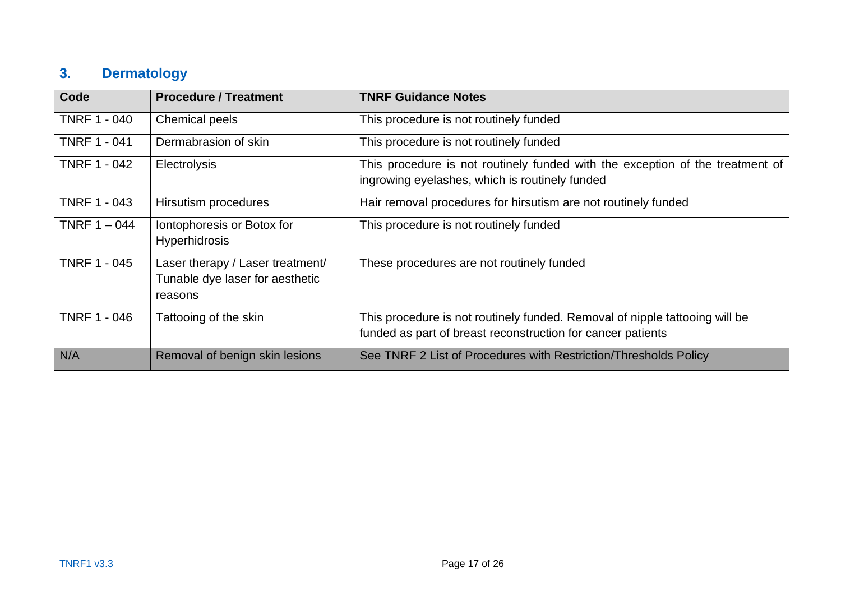## **3. Dermatology**

<span id="page-16-0"></span>

| Code                | <b>Procedure / Treatment</b>                                                   | <b>TNRF Guidance Notes</b>                                                                                                                 |
|---------------------|--------------------------------------------------------------------------------|--------------------------------------------------------------------------------------------------------------------------------------------|
| TNRF 1 - 040        | <b>Chemical peels</b>                                                          | This procedure is not routinely funded                                                                                                     |
| <b>TNRF 1 - 041</b> | Dermabrasion of skin                                                           | This procedure is not routinely funded                                                                                                     |
| <b>TNRF 1 - 042</b> | <b>Electrolysis</b>                                                            | This procedure is not routinely funded with the exception of the treatment of<br>ingrowing eyelashes, which is routinely funded            |
| <b>TNRF 1 - 043</b> | Hirsutism procedures                                                           | Hair removal procedures for hirsutism are not routinely funded                                                                             |
| TNRF $1 - 044$      | Iontophoresis or Botox for<br><b>Hyperhidrosis</b>                             | This procedure is not routinely funded                                                                                                     |
| <b>TNRF 1 - 045</b> | Laser therapy / Laser treatment/<br>Tunable dye laser for aesthetic<br>reasons | These procedures are not routinely funded                                                                                                  |
| <b>TNRF 1 - 046</b> | Tattooing of the skin                                                          | This procedure is not routinely funded. Removal of nipple tattooing will be<br>funded as part of breast reconstruction for cancer patients |
| N/A                 | Removal of benign skin lesions                                                 | See TNRF 2 List of Procedures with Restriction/Thresholds Policy                                                                           |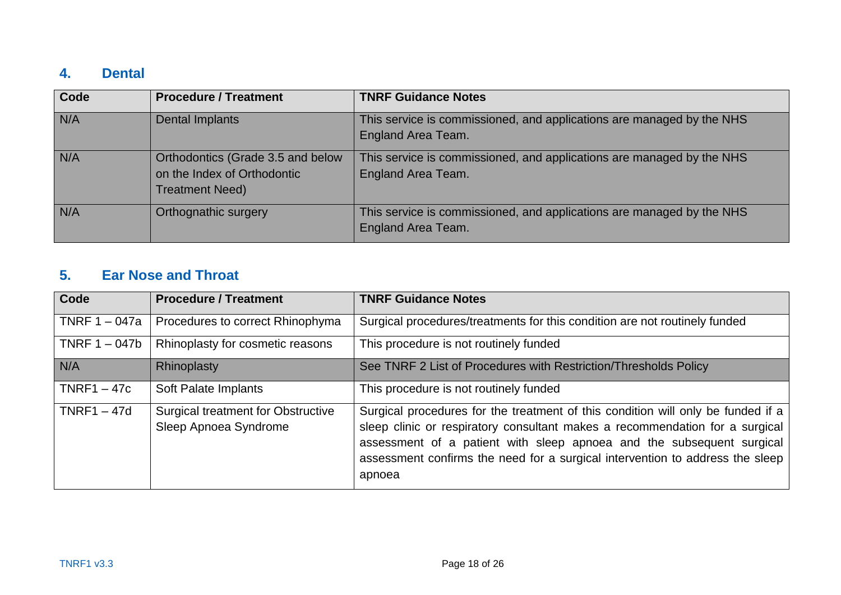## **4. Dental**

| Code | <b>Procedure / Treatment</b>                                                               | <b>TNRF Guidance Notes</b>                                                                         |
|------|--------------------------------------------------------------------------------------------|----------------------------------------------------------------------------------------------------|
| N/A  | <b>Dental Implants</b>                                                                     | This service is commissioned, and applications are managed by the NHS<br>England Area Team.        |
| N/A  | Orthodontics (Grade 3.5 and below<br>on the Index of Orthodontic<br><b>Treatment Need)</b> | This service is commissioned, and applications are managed by the NHS<br><b>England Area Team.</b> |
| N/A  | Orthognathic surgery                                                                       | This service is commissioned, and applications are managed by the NHS<br>England Area Team.        |

## **5. Ear Nose and Throat**

<span id="page-17-1"></span><span id="page-17-0"></span>

| Code            | <b>Procedure / Treatment</b>                                       | <b>TNRF Guidance Notes</b>                                                                                                                                                                                                                                                                                                           |
|-----------------|--------------------------------------------------------------------|--------------------------------------------------------------------------------------------------------------------------------------------------------------------------------------------------------------------------------------------------------------------------------------------------------------------------------------|
| TNRF $1 - 047a$ | Procedures to correct Rhinophyma                                   | Surgical procedures/treatments for this condition are not routinely funded                                                                                                                                                                                                                                                           |
| TNRF $1 - 047b$ | Rhinoplasty for cosmetic reasons                                   | This procedure is not routinely funded                                                                                                                                                                                                                                                                                               |
| N/A             | Rhinoplasty                                                        | See TNRF 2 List of Procedures with Restriction/Thresholds Policy                                                                                                                                                                                                                                                                     |
| $TNRF1 - 47c$   | Soft Palate Implants                                               | This procedure is not routinely funded                                                                                                                                                                                                                                                                                               |
| $TNRF1 - 47d$   | <b>Surgical treatment for Obstructive</b><br>Sleep Apnoea Syndrome | Surgical procedures for the treatment of this condition will only be funded if a<br>sleep clinic or respiratory consultant makes a recommendation for a surgical<br>assessment of a patient with sleep apnoea and the subsequent surgical<br>assessment confirms the need for a surgical intervention to address the sleep<br>apnoea |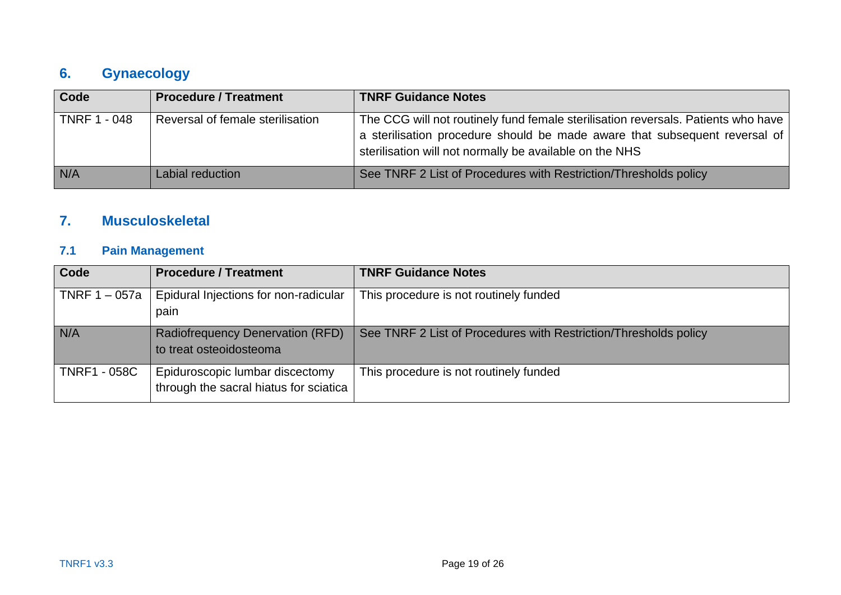## **6. Gynaecology**

| <b>Code</b>         | <b>Procedure / Treatment</b>     | <b>TNRF Guidance Notes</b>                                                                                                                                                                                                 |
|---------------------|----------------------------------|----------------------------------------------------------------------------------------------------------------------------------------------------------------------------------------------------------------------------|
| <b>TNRF 1 - 048</b> | Reversal of female sterilisation | The CCG will not routinely fund female sterilisation reversals. Patients who have<br>a sterilisation procedure should be made aware that subsequent reversal of<br>sterilisation will not normally be available on the NHS |
| N/A                 | Labial reduction                 | See TNRF 2 List of Procedures with Restriction/Thresholds policy                                                                                                                                                           |

## **7. Musculoskeletal**

## **7.1 Pain Management**

<span id="page-18-2"></span><span id="page-18-1"></span><span id="page-18-0"></span>

| Code                | <b>Procedure / Treatment</b>                                              | <b>TNRF Guidance Notes</b>                                       |
|---------------------|---------------------------------------------------------------------------|------------------------------------------------------------------|
| TNRF $1 - 057a$     | Epidural Injections for non-radicular<br>pain                             | This procedure is not routinely funded                           |
| N/A                 | <b>Radiofrequency Denervation (RFD)</b><br>to treat osteoidosteoma        | See TNRF 2 List of Procedures with Restriction/Thresholds policy |
| <b>TNRF1 - 058C</b> | Epiduroscopic lumbar discectomy<br>through the sacral hiatus for sciatica | This procedure is not routinely funded                           |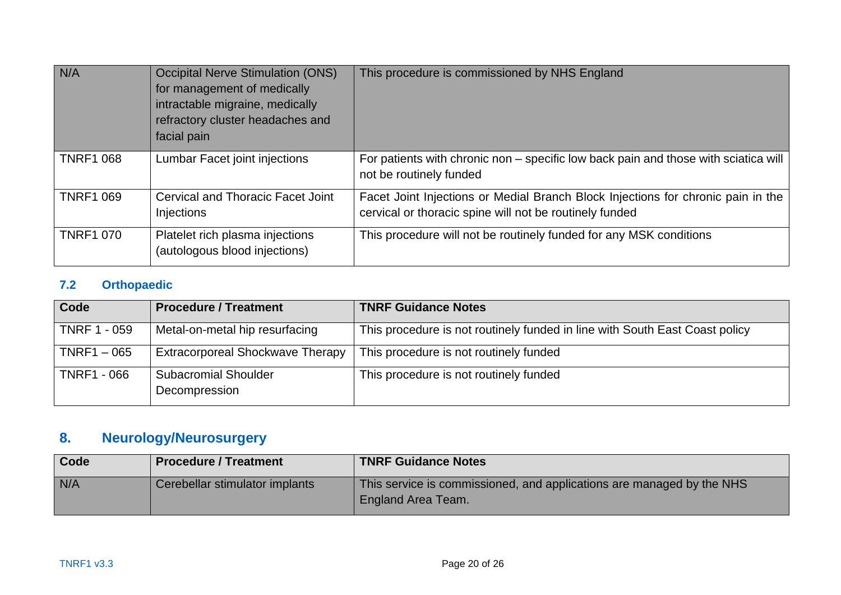| N/A              | <b>Occipital Nerve Stimulation (ONS)</b><br>for management of medically<br>intractable migraine, medically<br>refractory cluster headaches and<br>facial pain | This procedure is commissioned by NHS England                                                                                               |
|------------------|---------------------------------------------------------------------------------------------------------------------------------------------------------------|---------------------------------------------------------------------------------------------------------------------------------------------|
| <b>TNRF1 068</b> | Lumbar Facet joint injections                                                                                                                                 | For patients with chronic non – specific low back pain and those with sciatica will<br>not be routinely funded                              |
| <b>TNRF1 069</b> | <b>Cervical and Thoracic Facet Joint</b><br>Injections                                                                                                        | Facet Joint Injections or Medial Branch Block Injections for chronic pain in the<br>cervical or thoracic spine will not be routinely funded |
| <b>TNRF1 070</b> | Platelet rich plasma injections<br>(autologous blood injections)                                                                                              | This procedure will not be routinely funded for any MSK conditions                                                                          |

## **7.2 Orthopaedic**

| <b>Code</b>         | <b>Procedure / Treatment</b>                 | <b>TNRF Guidance Notes</b>                                                  |
|---------------------|----------------------------------------------|-----------------------------------------------------------------------------|
| <b>TNRF 1 - 059</b> | Metal-on-metal hip resurfacing               | This procedure is not routinely funded in line with South East Coast policy |
| $TNRF1 - 065$       | <b>Extracorporeal Shockwave Therapy</b>      | This procedure is not routinely funded                                      |
| <b>TNRF1 - 066</b>  | <b>Subacromial Shoulder</b><br>Decompression | This procedure is not routinely funded                                      |

# **8. Neurology/Neurosurgery**

<span id="page-19-1"></span><span id="page-19-0"></span>

| Code | <b>Procedure / Treatment</b>   | <b>TNRF Guidance Notes</b>                                                                  |
|------|--------------------------------|---------------------------------------------------------------------------------------------|
| N/A  | Cerebellar stimulator implants | This service is commissioned, and applications are managed by the NHS<br>England Area Team. |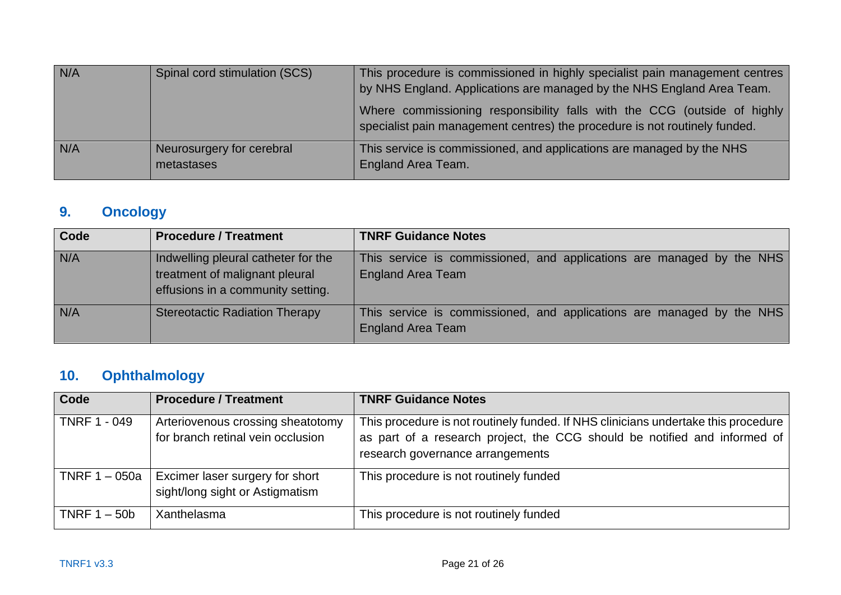| N/A | Spinal cord stimulation (SCS) | This procedure is commissioned in highly specialist pain management centres<br>by NHS England. Applications are managed by the NHS England Area Team.  |
|-----|-------------------------------|--------------------------------------------------------------------------------------------------------------------------------------------------------|
|     |                               | Where commissioning responsibility falls with the CCG (outside of highly<br>specialist pain management centres) the procedure is not routinely funded. |
| N/A | Neurosurgery for cerebral     | This service is commissioned, and applications are managed by the NHS                                                                                  |
|     | metastases                    | <b>England Area Team.</b>                                                                                                                              |

# **9. Oncology**

| <b>Code</b> | <b>Procedure / Treatment</b>                                                                               | <b>TNRF Guidance Notes</b>                                                                        |
|-------------|------------------------------------------------------------------------------------------------------------|---------------------------------------------------------------------------------------------------|
| N/A         | Indwelling pleural catheter for the<br>treatment of malignant pleural<br>effusions in a community setting. | This service is commissioned, and applications are managed by the NHS<br><b>England Area Team</b> |
| N/A         | <b>Stereotactic Radiation Therapy</b>                                                                      | This service is commissioned, and applications are managed by the NHS<br><b>England Area Team</b> |

# **10. Ophthalmology**

<span id="page-20-1"></span><span id="page-20-0"></span>

| Code          | <b>Procedure / Treatment</b>                                           | <b>TNRF Guidance Notes</b>                                                                                                                                                                          |
|---------------|------------------------------------------------------------------------|-----------------------------------------------------------------------------------------------------------------------------------------------------------------------------------------------------|
| TNRF 1 - 049  | Arteriovenous crossing sheatotomy<br>for branch retinal vein occlusion | This procedure is not routinely funded. If NHS clinicians undertake this procedure<br>as part of a research project, the CCG should be notified and informed of<br>research governance arrangements |
| TNRF 1 – 050a | Excimer laser surgery for short<br>sight/long sight or Astigmatism     | This procedure is not routinely funded                                                                                                                                                              |
| TNRF 1 – 50b  | Xanthelasma                                                            | This procedure is not routinely funded                                                                                                                                                              |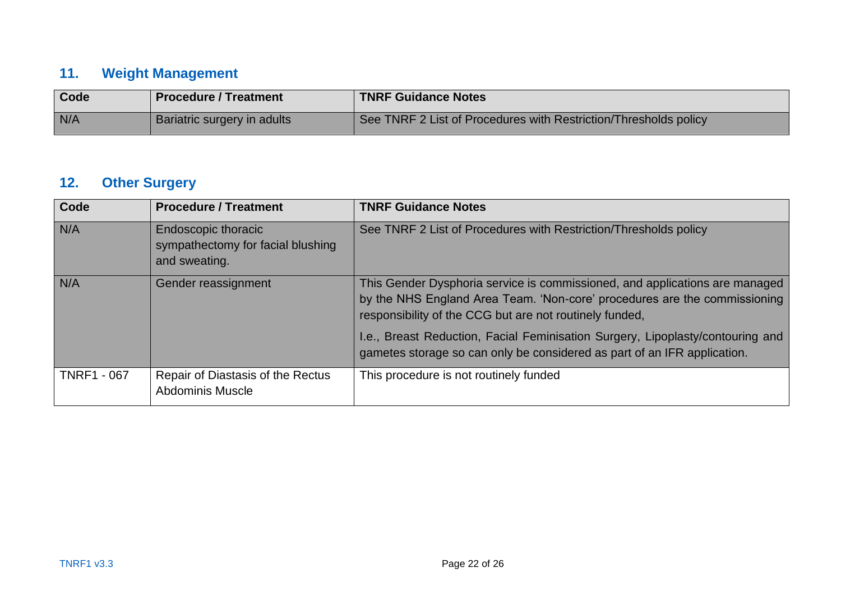## **11. Weight Management**

| Code | <b>Procedure / Treatment</b> | <b>TNRF Guidance Notes</b>                                       |
|------|------------------------------|------------------------------------------------------------------|
| N/A  | Bariatric surgery in adults  | See TNRF 2 List of Procedures with Restriction/Thresholds policy |

## **12. Other Surgery**

<span id="page-21-1"></span><span id="page-21-0"></span>

| <b>Code</b>        | <b>Procedure / Treatment</b>                                                     | <b>TNRF Guidance Notes</b>                                                                                                                                                                                          |
|--------------------|----------------------------------------------------------------------------------|---------------------------------------------------------------------------------------------------------------------------------------------------------------------------------------------------------------------|
| N/A                | <b>Endoscopic thoracic</b><br>sympathectomy for facial blushing<br>and sweating. | See TNRF 2 List of Procedures with Restriction/Thresholds policy                                                                                                                                                    |
| N/A                | Gender reassignment                                                              | This Gender Dysphoria service is commissioned, and applications are managed<br>by the NHS England Area Team. 'Non-core' procedures are the commissioning<br>responsibility of the CCG but are not routinely funded, |
|                    |                                                                                  | I.e., Breast Reduction, Facial Feminisation Surgery, Lipoplasty/contouring and<br>gametes storage so can only be considered as part of an IFR application.                                                          |
| <b>TNRF1 - 067</b> | Repair of Diastasis of the Rectus<br><b>Abdominis Muscle</b>                     | This procedure is not routinely funded                                                                                                                                                                              |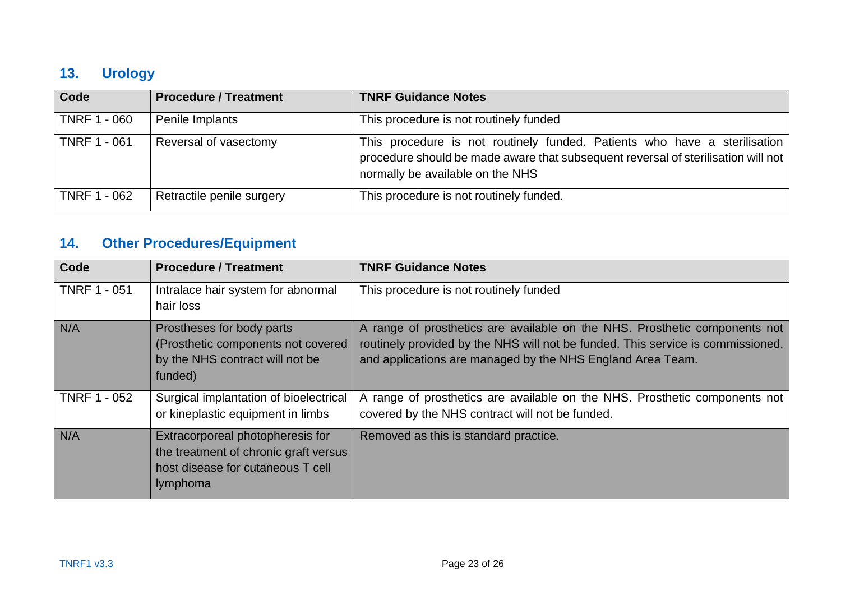## **13. Urology**

| Code                | <b>Procedure / Treatment</b> | <b>TNRF Guidance Notes</b>                                                                                                                                                                         |
|---------------------|------------------------------|----------------------------------------------------------------------------------------------------------------------------------------------------------------------------------------------------|
| <b>TNRF 1 - 060</b> | Penile Implants              | This procedure is not routinely funded                                                                                                                                                             |
| <b>TNRF 1 - 061</b> | Reversal of vasectomy        | This procedure is not routinely funded. Patients who have a sterilisation<br>procedure should be made aware that subsequent reversal of sterilisation will not<br>normally be available on the NHS |
| <b>TNRF 1 - 062</b> | Retractile penile surgery    | This procedure is not routinely funded.                                                                                                                                                            |

# **14. Other Procedures/Equipment**

<span id="page-22-1"></span><span id="page-22-0"></span>

| Code                | <b>Procedure / Treatment</b>                                                                                               | <b>TNRF Guidance Notes</b>                                                                                                                                                                                                  |
|---------------------|----------------------------------------------------------------------------------------------------------------------------|-----------------------------------------------------------------------------------------------------------------------------------------------------------------------------------------------------------------------------|
| <b>TNRF 1 - 051</b> | Intralace hair system for abnormal<br>hair loss                                                                            | This procedure is not routinely funded                                                                                                                                                                                      |
| N/A                 | Prostheses for body parts<br>(Prosthetic components not covered<br>by the NHS contract will not be<br>funded)              | A range of prosthetics are available on the NHS. Prosthetic components not<br>routinely provided by the NHS will not be funded. This service is commissioned,<br>and applications are managed by the NHS England Area Team. |
| <b>TNRF 1 - 052</b> | Surgical implantation of bioelectrical<br>or kineplastic equipment in limbs                                                | A range of prosthetics are available on the NHS. Prosthetic components not<br>covered by the NHS contract will not be funded.                                                                                               |
| N/A                 | Extracorporeal photopheresis for<br>the treatment of chronic graft versus<br>host disease for cutaneous T cell<br>lymphoma | Removed as this is standard practice.                                                                                                                                                                                       |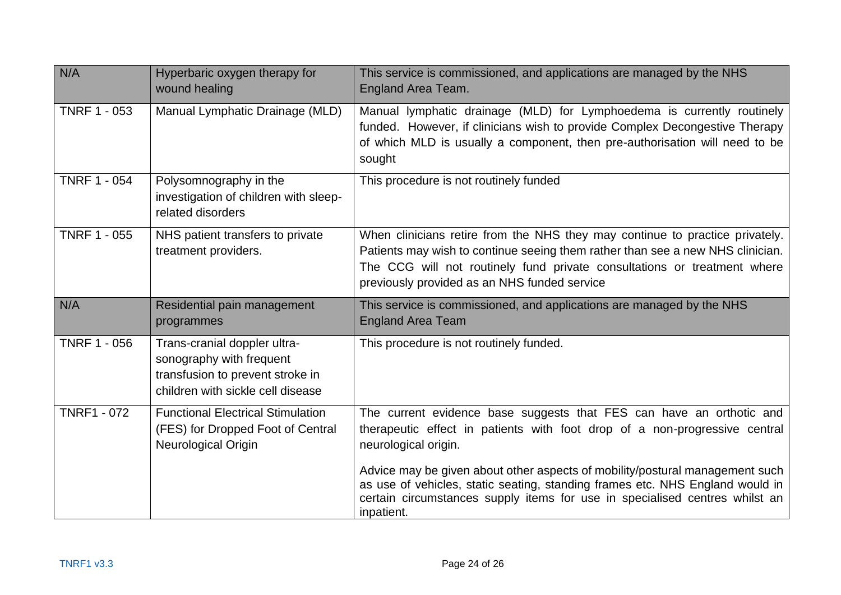| N/A                 | Hyperbaric oxygen therapy for<br>wound healing                                                                                    | This service is commissioned, and applications are managed by the NHS<br><b>England Area Team.</b>                                                                                                                                                                                         |
|---------------------|-----------------------------------------------------------------------------------------------------------------------------------|--------------------------------------------------------------------------------------------------------------------------------------------------------------------------------------------------------------------------------------------------------------------------------------------|
| <b>TNRF 1 - 053</b> | Manual Lymphatic Drainage (MLD)                                                                                                   | Manual lymphatic drainage (MLD) for Lymphoedema is currently routinely<br>funded. However, if clinicians wish to provide Complex Decongestive Therapy<br>of which MLD is usually a component, then pre-authorisation will need to be<br>sought                                             |
| <b>TNRF 1 - 054</b> | Polysomnography in the<br>investigation of children with sleep-<br>related disorders                                              | This procedure is not routinely funded                                                                                                                                                                                                                                                     |
| <b>TNRF 1 - 055</b> | NHS patient transfers to private<br>treatment providers.                                                                          | When clinicians retire from the NHS they may continue to practice privately.<br>Patients may wish to continue seeing them rather than see a new NHS clinician.<br>The CCG will not routinely fund private consultations or treatment where<br>previously provided as an NHS funded service |
| N/A                 | Residential pain management<br>programmes                                                                                         | This service is commissioned, and applications are managed by the NHS<br><b>England Area Team</b>                                                                                                                                                                                          |
| <b>TNRF 1 - 056</b> | Trans-cranial doppler ultra-<br>sonography with frequent<br>transfusion to prevent stroke in<br>children with sickle cell disease | This procedure is not routinely funded.                                                                                                                                                                                                                                                    |
| <b>TNRF1 - 072</b>  | <b>Functional Electrical Stimulation</b><br>(FES) for Dropped Foot of Central<br><b>Neurological Origin</b>                       | The current evidence base suggests that FES can have an orthotic and<br>therapeutic effect in patients with foot drop of a non-progressive central<br>neurological origin.                                                                                                                 |
|                     |                                                                                                                                   | Advice may be given about other aspects of mobility/postural management such<br>as use of vehicles, static seating, standing frames etc. NHS England would in<br>certain circumstances supply items for use in specialised centres whilst an                                               |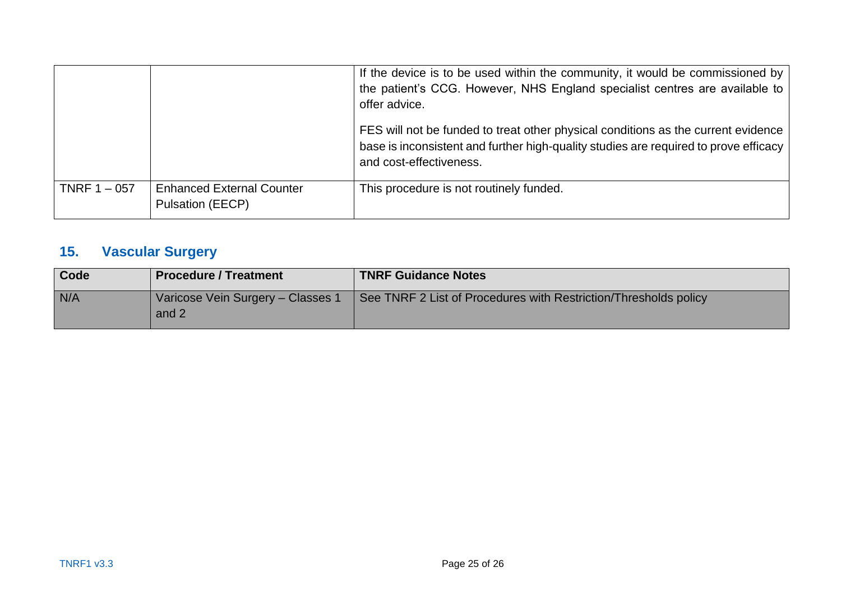|                |                                                             | If the device is to be used within the community, it would be commissioned by<br>the patient's CCG. However, NHS England specialist centres are available to<br>offer advice.                        |
|----------------|-------------------------------------------------------------|------------------------------------------------------------------------------------------------------------------------------------------------------------------------------------------------------|
|                |                                                             | FES will not be funded to treat other physical conditions as the current evidence<br>base is inconsistent and further high-quality studies are required to prove efficacy<br>and cost-effectiveness. |
| TNRF $1 - 057$ | <b>Enhanced External Counter</b><br><b>Pulsation (EECP)</b> | This procedure is not routinely funded.                                                                                                                                                              |

# **15. Vascular Surgery**

<span id="page-24-0"></span>

| Code | <b>Procedure / Treatment</b>             | <b>TNRF Guidance Notes</b>                                       |
|------|------------------------------------------|------------------------------------------------------------------|
| N/A  | Varicose Vein Surgery - Classes<br>and 2 | See TNRF 2 List of Procedures with Restriction/Thresholds policy |